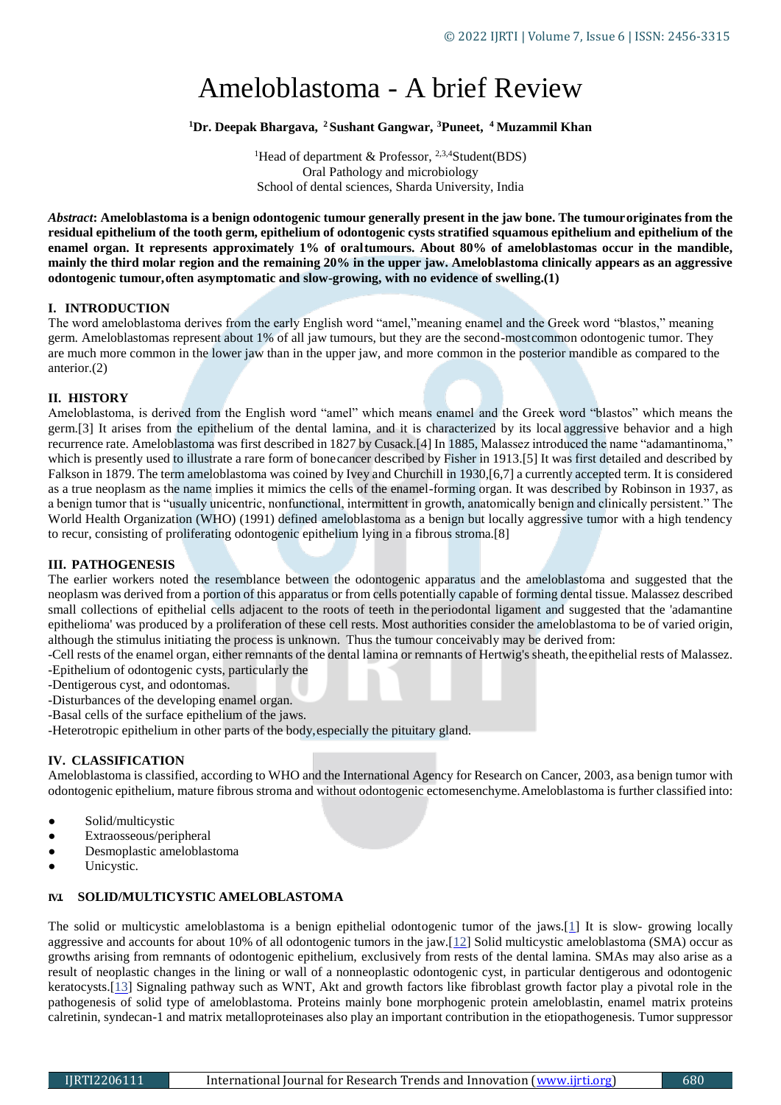# Ameloblastoma - A brief Review

## **<sup>1</sup>Dr. Deepak Bhargava, <sup>2</sup> Sushant Gangwar, <sup>3</sup>Puneet, <sup>4</sup> Muzammil Khan**

<sup>1</sup>Head of department & Professor,  $2,3,4$ Student(BDS) Oral Pathology and microbiology School of dental sciences, Sharda University, India

*Abstract***: Ameloblastoma is a benign odontogenic tumour generally present in the jaw bone. The tumouroriginates from the residual epithelium of the tooth germ, epithelium of odontogenic cysts stratified squamous epithelium and epithelium of the enamel organ. It represents approximately 1% of oraltumours. About 80% of ameloblastomas occur in the mandible, mainly the third molar region and the remaining 20% in the upper jaw. Ameloblastoma clinically appears as an aggressive odontogenic tumour,often asymptomatic and slow-growing, with no evidence of swelling.(1)**

## **I. INTRODUCTION**

The word ameloblastoma derives from the early English word "amel,"meaning enamel and the Greek word "blastos," meaning germ. Ameloblastomas represent about 1% of all jaw tumours, but they are the second-mostcommon odontogenic tumor. They are much more common in the lower jaw than in the upper jaw, and more common in the posterior mandible as compared to the anterior.(2)

### **II. HISTORY**

Ameloblastoma, is derived from the English word "amel" which means enamel and the Greek word "blastos" which means the germ.[3] It arises from the epithelium of the dental lamina, and it is characterized by its local aggressive behavior and a high recurrence rate. Ameloblastoma was first described in 1827 by Cusack.[4] In 1885, Malassez introduced the name "adamantinoma," which is presently used to illustrate a rare form of bonecancer described by Fisher in 1913.[5] It was first detailed and described by Falkson in 1879. The term ameloblastoma was coined by Ivey and Churchill in 1930,[6,7] a currently accepted term. It is considered as a true neoplasm as the name implies it mimics the cells of the enamel-forming organ. It was described by Robinson in 1937, as a benign tumor that is "usually unicentric, nonfunctional, intermittent in growth, anatomically benign and clinically persistent." The World Health Organization (WHO) (1991) defined ameloblastoma as a benign but locally aggressive tumor with a high tendency to recur, consisting of proliferating odontogenic epithelium lying in a fibrous stroma.[8]

## **III. PATHOGENESIS**

The earlier workers noted the resemblance between the odontogenic apparatus and the ameloblastoma and suggested that the neoplasm was derived from a portion of this apparatus or from cells potentially capable of forming dental tissue. Malassez described small collections of epithelial cells adjacent to the roots of teeth in the periodontal ligament and suggested that the 'adamantine epithelioma' was produced by a proliferation of these cell rests. Most authorities consider the ameloblastoma to be of varied origin, although the stimulus initiating the process is unknown. Thus the tumour conceivably may be derived from:

-Cell rests of the enamel organ, either remnants of the dental lamina or remnants of Hertwig's sheath, theepithelial rests of Malassez. -Epithelium of odontogenic cysts, particularly the

-Dentigerous cyst, and odontomas.

- -Disturbances of the developing enamel organ.
- -Basal cells of the surface epithelium of the jaws.
- -Heterotropic epithelium in other parts of the body,especially the pituitary gland.

## **IV. CLASSIFICATION**

Ameloblastoma is classified, according to WHO and the International Agency for Research on Cancer, 2003, asa benign tumor with odontogenic epithelium, mature fibrous stroma and without odontogenic ectomesenchyme.Ameloblastoma is further classified into:

- Solid/multicystic
- Extraosseous/peripheral
- Desmoplastic ameloblastoma
- Unicystic.

## **IV.I. SOLID/MULTICYSTIC AMELOBLASTOMA**

The solid or multicystic ameloblastoma is a benign epithelial odontogenic tumor of the jaws.[1] It is slow- growing locally aggressive and accounts for about 10% of all odontogenic tumors in the jaw.[12] Solid multicystic ameloblastoma (SMA) occur as growths arising from remnants of odontogenic epithelium, exclusively from rests of the dental lamina. SMAs may also arise as a result of neoplastic changes in the lining or wall of a nonneoplastic odontogenic cyst, in particular dentigerous and odontogenic keratocysts.[13] Signaling pathway such as WNT, Akt and growth factors like fibroblast growth factor play a pivotal role in the pathogenesis of solid type of ameloblastoma. Proteins mainly bone morphogenic protein ameloblastin, enamel matrix proteins calretinin, syndecan-1 and matrix metalloproteinases also play an important contribution in the etiopathogenesis. Tumor suppressor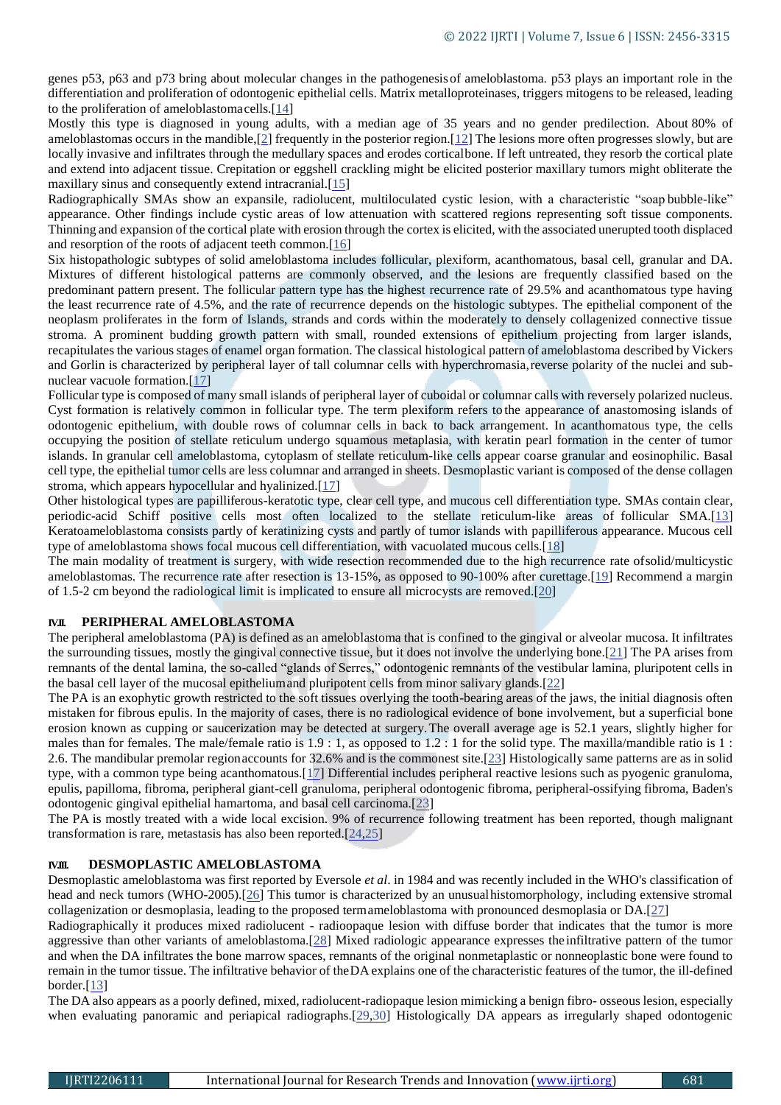genes p53, p63 and p73 bring about molecular changes in the pathogenesisof ameloblastoma. p53 plays an important role in the differentiation and proliferation of odontogenic epithelial cells. Matrix metalloproteinases, triggers mitogens to be released, leading to the proliferation of ameloblastomacells.[14]

Mostly this type is diagnosed in young adults, with a median age of 35 years and no gender predilection. About 80% of ameloblastomas occurs in the mandible,  $[2]$  frequently in the posterior region.  $[12]$  The lesions more often progresses slowly, but are locally invasive and infiltrates through the medullary spaces and erodes corticalbone. If left untreated, they resorb the cortical plate and extend into adjacent tissue. Crepitation or eggshell crackling might be elicited posterior maxillary tumors might obliterate the maxillary sinus and consequently extend intracranial.[15]

Radiographically SMAs show an expansile, radiolucent, multiloculated cystic lesion, with a characteristic "soap bubble-like" appearance. Other findings include cystic areas of low attenuation with scattered regions representing soft tissue components. Thinning and expansion of the cortical plate with erosion through the cortex is elicited, with the associated unerupted tooth displaced and resorption of the roots of adjacent teeth common.[16]

Six histopathologic subtypes of solid ameloblastoma includes follicular, plexiform, acanthomatous, basal cell, granular and DA. Mixtures of different histological patterns are commonly observed, and the lesions are frequently classified based on the predominant pattern present. The follicular pattern type has the highest recurrence rate of 29.5% and acanthomatous type having the least recurrence rate of 4.5%, and the rate of recurrence depends on the histologic subtypes. The epithelial component of the neoplasm proliferates in the form of Islands, strands and cords within the moderately to densely collagenized connective tissue stroma. A prominent budding growth pattern with small, rounded extensions of epithelium projecting from larger islands, recapitulates the various stages of enamel organ formation. The classical histological pattern of ameloblastoma described by Vickers and Gorlin is characterized by peripheral layer of tall columnar cells with hyperchromasia,reverse polarity of the nuclei and subnuclear vacuole formation.[17]

Follicular type is composed of many small islands of peripheral layer of cuboidal or columnar calls with reversely polarized nucleus. Cyst formation is relatively common in follicular type. The term plexiform refers to the appearance of anastomosing islands of odontogenic epithelium, with double rows of columnar cells in back to back arrangement. In acanthomatous type, the cells occupying the position of stellate reticulum undergo squamous metaplasia, with keratin pearl formation in the center of tumor islands. In granular cell ameloblastoma, cytoplasm of stellate reticulum-like cells appear coarse granular and eosinophilic. Basal cell type, the epithelial tumor cells are less columnar and arranged in sheets. Desmoplastic variant is composed of the dense collagen stroma, which appears hypocellular and hyalinized.[17]

Other histological types are papilliferous-keratotic type, clear cell type, and mucous cell differentiation type. SMAs contain clear, periodic-acid Schiff positive cells most often localized to the stellate reticulum-like areas of follicular SMA.[13] Keratoameloblastoma consists partly of keratinizing cysts and partly of tumor islands with papilliferous appearance. Mucous cell type of ameloblastoma shows focal mucous cell differentiation, with vacuolated mucous cells.[18]

The main modality of treatment is surgery, with wide resection recommended due to the high recurrence rate ofsolid/multicystic ameloblastomas. The recurrence rate after resection is 13-15%, as opposed to 90-100% after curettage.[19] Recommend a margin of 1.5-2 cm beyond the radiological limit is implicated to ensure all microcysts are removed.[20]

#### **IV.II. PERIPHERAL AMELOBLASTOMA**

The peripheral ameloblastoma (PA) is defined as an ameloblastoma that is confined to the gingival or alveolar mucosa. It infiltrates the surrounding tissues, mostly the gingival connective tissue, but it does not involve the underlying bone.[21] The PA arises from remnants of the dental lamina, the so-called "glands of Serres," odontogenic remnants of the vestibular lamina, pluripotent cells in the basal cell layer of the mucosal epitheliumand pluripotent cells from minor salivary glands.[22]

The PA is an exophytic growth restricted to the soft tissues overlying the tooth-bearing areas of the jaws, the initial diagnosis often mistaken for fibrous epulis. In the majority of cases, there is no radiological evidence of bone involvement, but a superficial bone erosion known as cupping or saucerization may be detected at surgery.The overall average age is 52.1 years, slightly higher for males than for females. The male/female ratio is  $1.9 : 1$ , as opposed to  $1.2 : 1$  for the solid type. The maxilla/mandible ratio is 1: 2.6. The mandibular premolar regionaccounts for 32.6% and is the commonest site.[23] Histologically same patterns are as in solid type, with a common type being acanthomatous.[17] Differential includes peripheral reactive lesions such as pyogenic granuloma, epulis, papilloma, fibroma, peripheral giant-cell granuloma, peripheral odontogenic fibroma, peripheral-ossifying fibroma, Baden's odontogenic gingival epithelial hamartoma, and basal cell carcinoma.[23]

The PA is mostly treated with a wide local excision. 9% of recurrence following treatment has been reported, though malignant transformation is rare, metastasis has also been reported.[24,25]

#### **IV.III. DESMOPLASTIC AMELOBLASTOMA**

Desmoplastic ameloblastoma was first reported by Eversole *et al*. in 1984 and was recently included in the WHO's classification of head and neck tumors (WHO-2005).[26] This tumor is characterized by an unusual histomorphology, including extensive stromal collagenization or desmoplasia, leading to the proposed termameloblastoma with pronounced desmoplasia or DA.[27]

Radiographically it produces mixed radiolucent - radioopaque lesion with diffuse border that indicates that the tumor is more aggressive than other variants of ameloblastoma.[28] Mixed radiologic appearance expresses the infiltrative pattern of the tumor and when the DA infiltrates the bone marrow spaces, remnants of the original nonmetaplastic or nonneoplastic bone were found to remain in the tumor tissue. The infiltrative behavior of theDA explains one of the characteristic features of the tumor, the ill-defined border.[13]

The DA also appears as a poorly defined, mixed, radiolucent-radiopaque lesion mimicking a benign fibro- osseous lesion, especially when evaluating panoramic and periapical radiographs.<sup>[29,30]</sup> Histologically DA appears as irregularly shaped odontogenic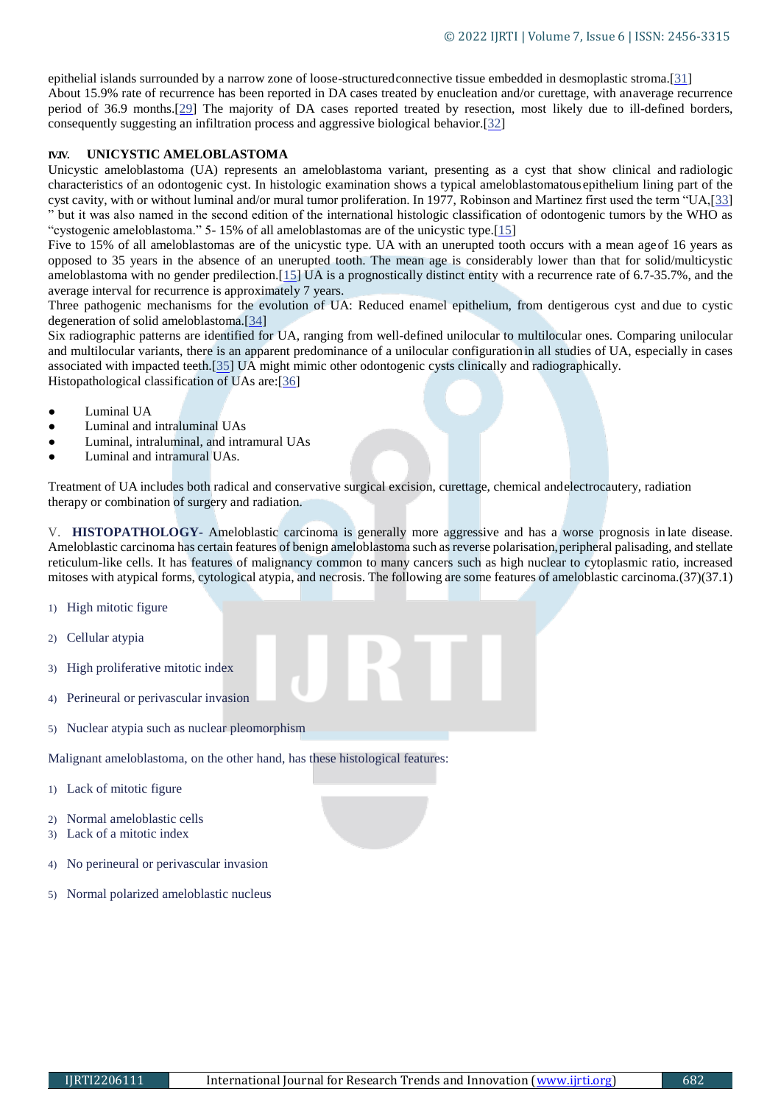epithelial islands surrounded by a narrow zone of loose-structuredconnective tissue embedded in desmoplastic stroma.[31] About 15.9% rate of recurrence has been reported in DA cases treated by enucleation and/or curettage, with anaverage recurrence period of 36.9 months.[29] The majority of DA cases reported treated by resection, most likely due to ill-defined borders, consequently suggesting an infiltration process and aggressive biological behavior.[32]

#### **IV.IV. UNICYSTIC AMELOBLASTOMA**

Unicystic ameloblastoma (UA) represents an ameloblastoma variant, presenting as a cyst that show clinical and radiologic characteristics of an odontogenic cyst. In histologic examination shows a typical ameloblastomatous epithelium lining part of the cyst cavity, with or without luminal and/or mural tumor proliferation. In 1977, Robinson and Martinez first used the term "UA,[33] " but it was also named in the second edition of the international histologic classification of odontogenic tumors by the WHO as "cystogenic ameloblastoma." 5- 15% of all ameloblastomas are of the unicystic type.[15]

Five to 15% of all ameloblastomas are of the unicystic type. UA with an unerupted tooth occurs with a mean ageof 16 years as opposed to 35 years in the absence of an unerupted tooth. The mean age is considerably lower than that for solid/multicystic ameloblastoma with no gender predilection.[15] UA is a prognostically distinct entity with a recurrence rate of 6.7-35.7%, and the average interval for recurrence is approximately 7 years.

Three pathogenic mechanisms for the evolution of UA: Reduced enamel epithelium, from dentigerous cyst and due to cystic degeneration of solid ameloblastoma.[34]

Six radiographic patterns are identified for UA, ranging from well-defined unilocular to multilocular ones. Comparing unilocular and multilocular variants, there is an apparent predominance of a unilocular configuration in all studies of UA, especially in cases associated with impacted teeth.[35] UA might mimic other odontogenic cysts clinically and radiographically. Histopathological classification of UAs are:[36]

- Luminal UA
- Luminal and intraluminal UAs
- Luminal, intraluminal, and intramural UAs
- Luminal and intramural UAs.

Treatment of UA includes both radical and conservative surgical excision, curettage, chemical andelectrocautery, radiation therapy or combination of surgery and radiation.

V. **HISTOPATHOLOGY-** Ameloblastic carcinoma is generally more aggressive and has a worse prognosis in late disease. Ameloblastic carcinoma has certain features of benign ameloblastoma such as reverse polarisation, peripheral palisading, and stellate reticulum-like cells. It has features of malignancy common to many cancers such as high nuclear to cytoplasmic ratio, increased mitoses with atypical forms, cytological atypia, and necrosis. The following are some features of ameloblastic carcinoma.(37)(37.1)

- 1) High mitotic figure
- 2) Cellular atypia
- 3) High proliferative mitotic index
- 4) Perineural or perivascular invasion
- 5) Nuclear atypia such as nuclear pleomorphism

Malignant ameloblastoma, on the other hand, has these histological features:

- 1) Lack of mitotic figure
- 2) Normal ameloblastic cells
- 3) Lack of a mitotic index
- 4) No perineural or perivascular invasion
- 5) Normal polarized ameloblastic nucleus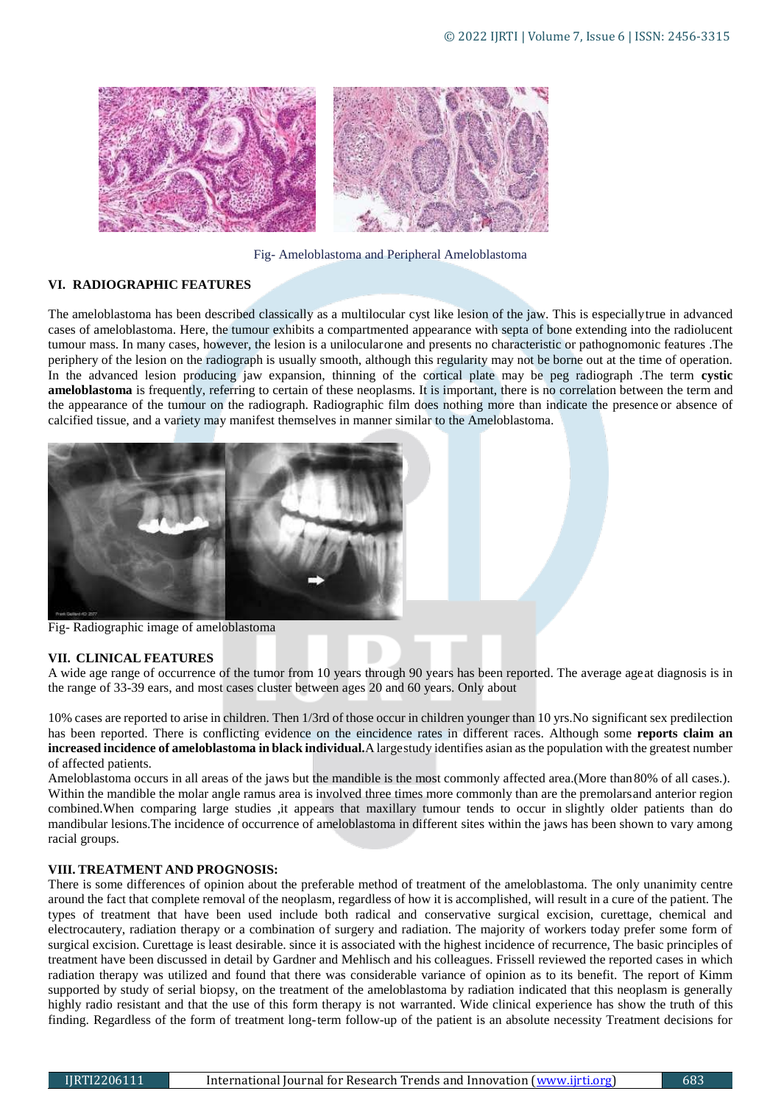

Fig- Ameloblastoma and Peripheral Ameloblastoma

### **VI. RADIOGRAPHIC FEATURES**

The ameloblastoma has been described classically as a multilocular cyst like lesion of the jaw. This is especiallytrue in advanced cases of ameloblastoma. Here, the tumour exhibits a compartmented appearance with septa of bone extending into the radiolucent tumour mass. In many cases, however, the lesion is a unilocularone and presents no characteristic or pathognomonic features .The periphery of the lesion on the radiograph is usually smooth, although this regularity may not be borne out at the time of operation. In the advanced lesion producing jaw expansion, thinning of the cortical plate may be peg radiograph .The term **cystic ameloblastoma** is frequently, referring to certain of these neoplasms. It is important, there is no correlation between the term and the appearance of the tumour on the radiograph. Radiographic film does nothing more than indicate the presence or absence of calcified tissue, and a variety may manifest themselves in manner similar to the Ameloblastoma.



Fig- Radiographic image of ameloblastoma

#### **VII. CLINICAL FEATURES**

A wide age range of occurrence of the tumor from 10 years through 90 years has been reported. The average ageat diagnosis is in the range of 33-39 ears, and most cases cluster between ages 20 and 60 years. Only about

10% cases are reported to arise in children. Then 1/3rd of those occur in children younger than 10 yrs.No significant sex predilection has been reported. There is conflicting evidence on the eincidence rates in different races. Although some **reports claim an increased incidence of ameloblastoma in black individual.**A largestudy identifies asian as the population with the greatest number of affected patients.

Ameloblastoma occurs in all areas of the jaws but the mandible is the most commonly affected area.(More than80% of all cases.). Within the mandible the molar angle ramus area is involved three times more commonly than are the premolarsand anterior region combined.When comparing large studies ,it appears that maxillary tumour tends to occur in slightly older patients than do mandibular lesions.The incidence of occurrence of ameloblastoma in different sites within the jaws has been shown to vary among racial groups.

#### **VIII. TREATMENT AND PROGNOSIS:**

There is some differences of opinion about the preferable method of treatment of the ameloblastoma. The only unanimity centre around the fact that complete removal of the neoplasm, regardless of how it is accomplished, will result in a cure of the patient. The types of treatment that have been used include both radical and conservative surgical excision, curettage, chemical and electrocautery, radiation therapy or a combination of surgery and radiation. The majority of workers today prefer some form of surgical excision. Curettage is least desirable. since it is associated with the highest incidence of recurrence, The basic principles of treatment have been discussed in detail by Gardner and Mehlisch and his colleagues. Frissell reviewed the reported cases in which radiation therapy was utilized and found that there was considerable variance of opinion as to its benefit. The report of Kimm supported by study of serial biopsy, on the treatment of the ameloblastoma by radiation indicated that this neoplasm is generally highly radio resistant and that the use of this form therapy is not warranted. Wide clinical experience has show the truth of this finding. Regardless of the form of treatment long-term follow-up of the patient is an absolute necessity Treatment decisions for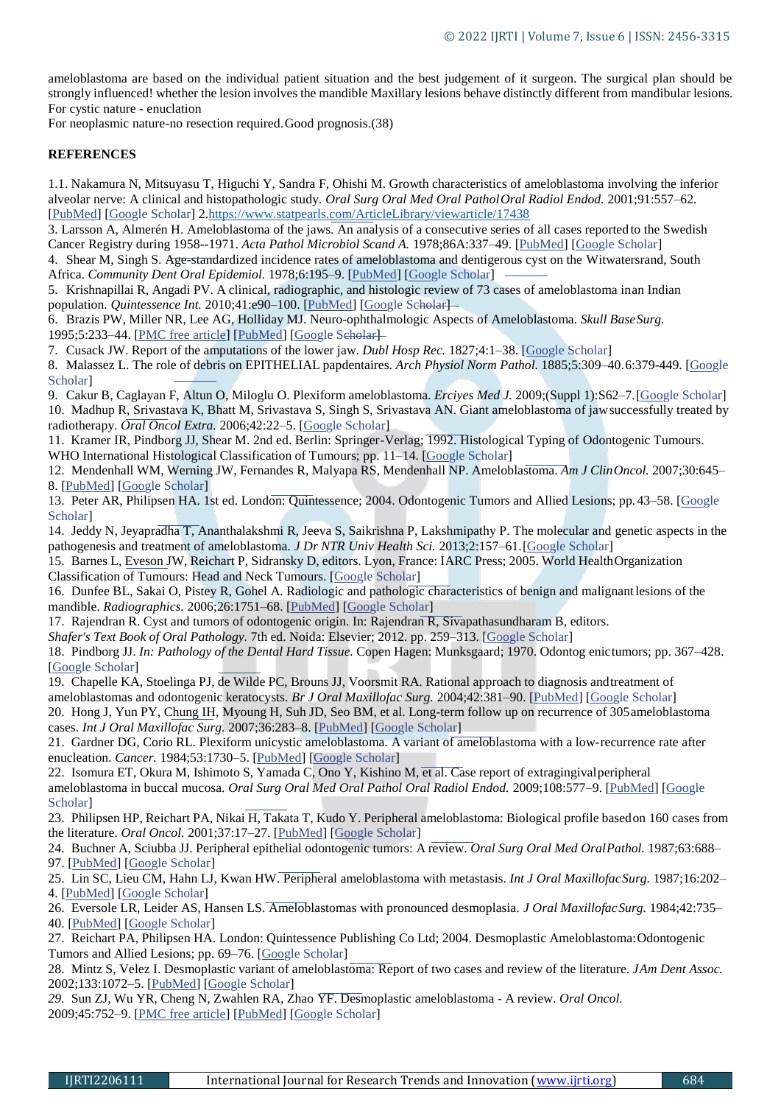ameloblastoma are based on the individual patient situation and the best judgement of it surgeon. The surgical plan should be strongly influenced! whether the lesion involves the mandible Maxillary lesions behave distinctly different from mandibular lesions. For cystic nature - enuclation

For neoplasmic nature-no resection required.Good prognosis.(38)

## **REFERENCES**

1.1. Nakamura N, Mitsuyasu T, Higuchi Y, Sandra F, Ohishi M. Growth characteristics of ameloblastoma involving the inferior alveolar nerve: A clinical and histopathologic study. *Oral Surg Oral Med Oral PatholOral Radiol Endod.* 2001;91:557–62. [PubMed] [Google Scholar] 2.https:/[/www.statpearls.com/ArticleLibrary/viewarticle/17438](http://www.statpearls.com/ArticleLibrary/viewarticle/17438)

3. Larsson A, Almerén H. Ameloblastoma of the jaws. An analysis of a consecutive series of all cases reported to the Swedish Cancer Registry during 1958--1971. *Acta Pathol Microbiol Scand A.* 1978;86A:337–49. [PubMed] [Google Scholar]

4. Shear M, Singh S. Age-standardized incidence rates of ameloblastoma and dentigerous cyst on the Witwatersrand, South Africa. *Community Dent Oral Epidemiol.* 1978;6:195–9. [PubMed] [Google Scholar]

5. Krishnapillai R, Angadi PV. A clinical, radiographic, and histologic review of 73 cases of ameloblastoma inan Indian population. *Quintessence Int.* 2010;41:e90-100. [PubMed] [Google Scholar]-

6. Brazis PW, Miller NR, Lee AG, Holliday MJ. Neuro-ophthalmologic Aspects of Ameloblastoma. *Skull BaseSurg.* 1995;5:233-44. [PMC free article] [PubMed] [Google Seholar]-

7. Cusack JW. Report of the amputations of the lower jaw. *Dubl Hosp Rec.* 1827;4:1–38. [Google Scholar]

8. Malassez L. The role of debris on EPITHELIAL papdentaires. *Arch Physiol Norm Pathol.* 1885;5:309–40.6:379-449. [Google Scholar]

9. Cakur B, Caglayan F, Altun O, Miloglu O. Plexiform ameloblastoma. *Erciyes Med J.* 2009;(Suppl 1):S62–7.[Google Scholar] 10. Madhup R, Srivastava K, Bhatt M, Srivastava S, Singh S, Srivastava AN. Giant ameloblastoma of jawsuccessfully treated by radiotherapy. *Oral Oncol Extra.* 2006;42:22–5. [Google Scholar]

11. Kramer IR, Pindborg JJ, Shear M. 2nd ed. Berlin: Springer-Verlag; 1992. Histological Typing of Odontogenic Tumours. WHO International Histological Classification of Tumours; pp. 11–14. [Google Scholar]

12. Mendenhall WM, Werning JW, Fernandes R, Malyapa RS, Mendenhall NP. Ameloblastoma. *Am J ClinOncol.* 2007;30:645– 8. [PubMed] [Google Scholar]

13. Peter AR, Philipsen HA. 1st ed. London: Quintessence; 2004. Odontogenic Tumors and Allied Lesions; pp.43–58. [Google Scholar]

14. Jeddy N, Jeyapradha T, Ananthalakshmi R, Jeeva S, Saikrishna P, Lakshmipathy P. The molecular and genetic aspects in the pathogenesis and treatment of ameloblastoma. *J Dr NTR Univ Health Sci.* 2013;2:157–61.[Google Scholar]

15. Barnes L, Eveson JW, Reichart P, Sidransky D, editors. Lyon, France: IARC Press; 2005. World HealthOrganization Classification of Tumours: Head and Neck Tumours. [Google Scholar]

16. Dunfee BL, Sakai O, Pistey R, Gohel A. Radiologic and pathologic characteristics of benign and malignantlesions of the mandible. *Radiographics.* 2006;26:1751–68. [PubMed] [Google Scholar]

17. Rajendran R. Cyst and tumors of odontogenic origin. In: Rajendran R, Sivapathasundharam B, editors.

*Shafer's Text Book of Oral Pathology.* 7th ed. Noida: Elsevier; 2012. pp. 259–313. [Google Scholar]

18. Pindborg JJ. *In: Pathology of the Dental Hard Tissue.* Copen Hagen: Munksgaard; 1970. Odontog enictumors; pp. 367–428. [Google Scholar]

19. Chapelle KA, Stoelinga PJ, de Wilde PC, Brouns JJ, Voorsmit RA. Rational approach to diagnosis andtreatment of ameloblastomas and odontogenic keratocysts. *Br J Oral Maxillofac Surg.* 2004;42:381–90. [PubMed] [Google Scholar]

20. Hong J, Yun PY, Chung IH, Myoung H, Suh JD, Seo BM, et al. Long-term follow up on recurrence of 305ameloblastoma cases. *Int J Oral Maxillofac Surg.* 2007;36:283–8. [PubMed] [Google Scholar]

21. Gardner DG, Corio RL. Plexiform unicystic ameloblastoma. A variant of ameloblastoma with a low-recurrence rate after enucleation. *Cancer.* 1984;53:1730–5. [PubMed] [Google Scholar]

22. Isomura ET, Okura M, Ishimoto S, Yamada C, Ono Y, Kishino M, et al. Case report of extragingivalperipheral ameloblastoma in buccal mucosa. *Oral Surg Oral Med Oral Pathol Oral Radiol Endod.* 2009;108:577–9. [PubMed] [Google Scholar]

23. Philipsen HP, Reichart PA, Nikai H, Takata T, Kudo Y. Peripheral ameloblastoma: Biological profile basedon 160 cases from the literature. *Oral Oncol.* 2001;37:17–27. [PubMed] [Google Scholar]

24. Buchner A, Sciubba JJ. Peripheral epithelial odontogenic tumors: A review. *Oral Surg Oral Med OralPathol.* 1987;63:688– 97. [PubMed] [Google Scholar]

25. Lin SC, Lieu CM, Hahn LJ, Kwan HW. Peripheral ameloblastoma with metastasis. *Int J Oral MaxillofacSurg.* 1987;16:202– 4. [PubMed] [Google Scholar]

26. Eversole LR, Leider AS, Hansen LS. Ameloblastomas with pronounced desmoplasia. *J Oral MaxillofacSurg.* 1984;42:735– 40. [PubMed] [Google Scholar]

27. Reichart PA, Philipsen HA. London: Quintessence Publishing Co Ltd; 2004. Desmoplastic Ameloblastoma:Odontogenic Tumors and Allied Lesions; pp. 69–76. [Google Scholar]

28. Mintz S, Velez I. Desmoplastic variant of ameloblastoma: Report of two cases and review of the literature. *JAm Dent Assoc.*  2002;133:1072–5. [PubMed] [Google Scholar]

*29.* Sun ZJ, Wu YR, Cheng N, Zwahlen RA, Zhao YF. Desmoplastic ameloblastoma - A review. *Oral Oncol.* 2009;45:752–9. [PMC free article] [PubMed] [Google Scholar]